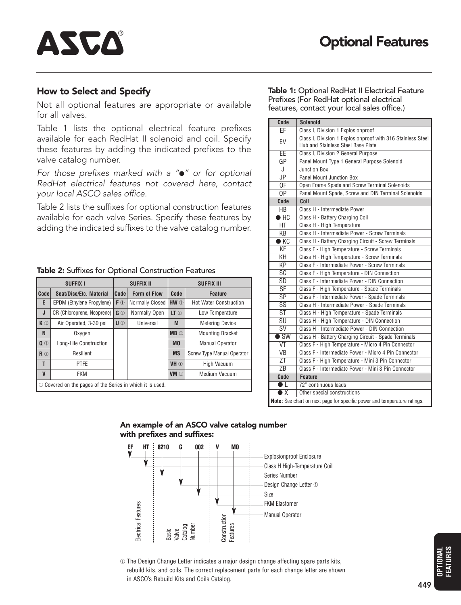#### **How to Select and Specify**

ASCA

Not all optional features are appropriate or available for all valves.

Table 1 lists the optional electrical feature prefixes available for each RedHat II solenoid and coil. Specify these features by adding the indicated prefixes to the valve catalog number.

*For those prefixes marked with a "*l*" or for optional RedHat electrical features not covered here, contact your local ASCO sales office.*

Table 2 lists the suffixes for optional construction features available for each valve Series. Specify these features by adding the indicated suffixes to the valve catalog number.

| <b>SUFFIX I</b>                                                          |                            |                | <b>SUFFIX II</b>                      |                            | <b>SUFFIX III</b>             |  |  |  |
|--------------------------------------------------------------------------|----------------------------|----------------|---------------------------------------|----------------------------|-------------------------------|--|--|--|
| Code                                                                     | Seat/Disc/Etc. Material    | Code           | <b>Form of Flow</b>                   | Code                       | <b>Feature</b>                |  |  |  |
| E                                                                        | EPDM (Ethylene Propylene)  | $F$ ①          | <b>Normally Closed</b>                | HW 1                       | <b>Hot Water Construction</b> |  |  |  |
| J                                                                        | CR (Chloroprene, Neoprene) | G <sup>1</sup> | Normally Open                         | $LT$ $\odot$               | Low Temperature               |  |  |  |
| K ①                                                                      | Air Operated, 3-30 psi     | $U$ (1)        | Universal                             | M                          | Metering Device               |  |  |  |
| N                                                                        | Oxygen                     |                |                                       | <b>MB</b> ①                | <b>Mounting Bracket</b>       |  |  |  |
| $0$ <sup><math>\odot</math></sup>                                        | Long-Life Construction     |                |                                       | M <sub>0</sub>             | <b>Manual Operator</b>        |  |  |  |
| R <sub>①</sub>                                                           | Resilient                  |                |                                       | <b>MS</b>                  | Screw Type Manual Operator    |  |  |  |
| T                                                                        | <b>PTFE</b>                |                | <b>High Vacuum</b><br>VH <sup>1</sup> |                            |                               |  |  |  |
| $\mathsf{V}$                                                             | <b>FKM</b>                 |                |                                       | VM <sub><sup>①</sup></sub> | Medium Vacuum                 |  |  |  |
| Covered on the pages of the Series in which it is used.<br>$\circled{1}$ |                            |                |                                       |                            |                               |  |  |  |

**Table 1:** Optional RedHat II Electrical Feature Prefixes (For RedHat optional electrical features, contact your local sales office.)

| Code                                                                     | <b>Solenoid</b>                                                                                   |  |  |  |  |  |
|--------------------------------------------------------------------------|---------------------------------------------------------------------------------------------------|--|--|--|--|--|
| EF                                                                       | Class I, Division 1 Explosionproof                                                                |  |  |  |  |  |
| EV                                                                       | Class I, Division 1 Explosionproof with 316 Stainless Steel<br>Hub and Stainless Steel Base Plate |  |  |  |  |  |
| $\overline{\mathsf{FF}}$                                                 | Class I, Division 2 General Purpose                                                               |  |  |  |  |  |
| GP<br>Panel Mount Type 1 General Purpose Solenoid                        |                                                                                                   |  |  |  |  |  |
| J                                                                        | <b>Junction Box</b>                                                                               |  |  |  |  |  |
| <b>JP</b>                                                                | Panel Mount Junction Box                                                                          |  |  |  |  |  |
| 0 <sub>F</sub>                                                           | Open Frame Spade and Screw Terminal Solenoids                                                     |  |  |  |  |  |
| $\overline{OP}$                                                          | Panel Mount Spade, Screw and DIN Terminal Solenoids                                               |  |  |  |  |  |
| Code                                                                     | Coil                                                                                              |  |  |  |  |  |
| HB                                                                       | Class H - Intermediate Power                                                                      |  |  |  |  |  |
| $\bullet$ HC                                                             | Class H - Battery Charging Coil                                                                   |  |  |  |  |  |
| <b>HT</b>                                                                | Class H - High Temperature                                                                        |  |  |  |  |  |
| $\overline{KB}$                                                          | Class H - Intermediate Power - Screw Terminals                                                    |  |  |  |  |  |
| $\bullet$ KC                                                             | Class H - Battery Charging Circuit - Screw Terminals                                              |  |  |  |  |  |
| KF                                                                       | Class F - High Temperature - Screw Terminals                                                      |  |  |  |  |  |
| KH                                                                       | Class H - High Temperature - Screw Terminals                                                      |  |  |  |  |  |
| $\overline{KP}$                                                          | Class F - Intermediate Power - Screw Terminals                                                    |  |  |  |  |  |
| $\overline{\text{SC}}$                                                   | Class F - High Temperature - DIN Connection                                                       |  |  |  |  |  |
| SD                                                                       | Class F - Intermediate Power - DIN Connection                                                     |  |  |  |  |  |
| <b>SF</b>                                                                | Class F - High Temperature - Spade Terminals                                                      |  |  |  |  |  |
| $\overline{\text{SP}}$                                                   | Class F - Intermediate Power - Spade Terminals                                                    |  |  |  |  |  |
| $\overline{\text{SS}}$                                                   | Class H - Intermediate Power - Spade Terminals                                                    |  |  |  |  |  |
| $\overline{\text{ST}}$                                                   | Class H - High Temperature - Spade Terminals                                                      |  |  |  |  |  |
| $\overline{\mathsf{S}\mathsf{U}}$                                        | Class H - High Temperature - DIN Connection                                                       |  |  |  |  |  |
| $\overline{\text{SV}}$                                                   | Class H - Intermediate Power - DIN Connection                                                     |  |  |  |  |  |
| $\bullet$ SW                                                             | Class H - Battery Charging Circuit - Spade Terminals                                              |  |  |  |  |  |
| $\overline{\text{VT}}$                                                   | Class F - High Temperature - Micro 4 Pin Connector                                                |  |  |  |  |  |
| V <sub>B</sub>                                                           | Class F - Intermediate Power - Micro 4 Pin Connector                                              |  |  |  |  |  |
| $\overline{Z}$ T                                                         | Class F - High Temperature - Mini 3 Pin Connector                                                 |  |  |  |  |  |
| ZB<br>Class F - Intermediate Power - Mini 3 Pin Connector                |                                                                                                   |  |  |  |  |  |
| Code                                                                     | <b>Feature</b>                                                                                    |  |  |  |  |  |
| $\bullet$                                                                | 72" continuous leads                                                                              |  |  |  |  |  |
| $\bullet$ X<br>Other special constructions                               |                                                                                                   |  |  |  |  |  |
| Note: See chart on next page for specific power and temperature ratings. |                                                                                                   |  |  |  |  |  |





¨ The Design Change Letter indicates a major design change affecting spare parts kits, rebuild kits, and coils. The correct replacement parts for each change letter are shown in ASCO's Rebuild Kits and Coils Catalog.